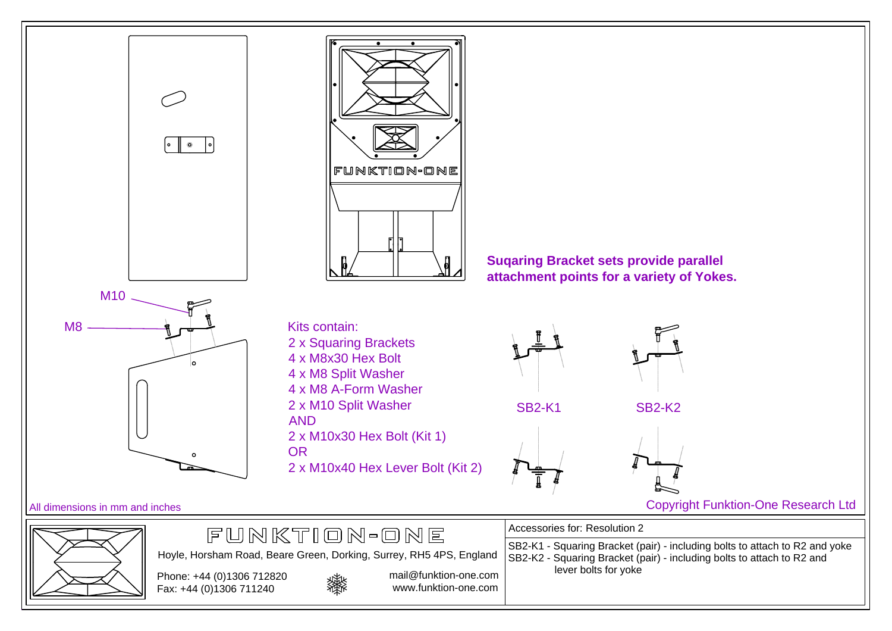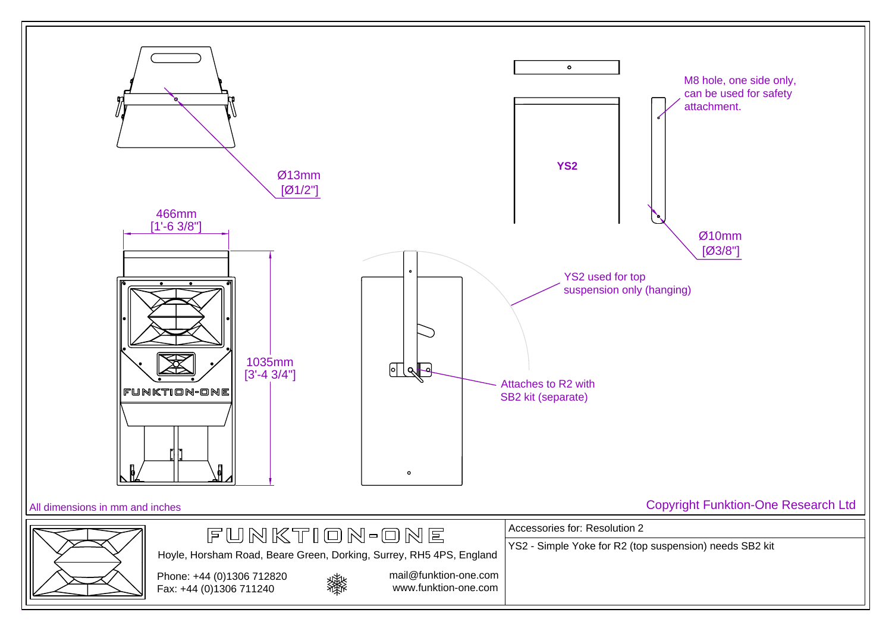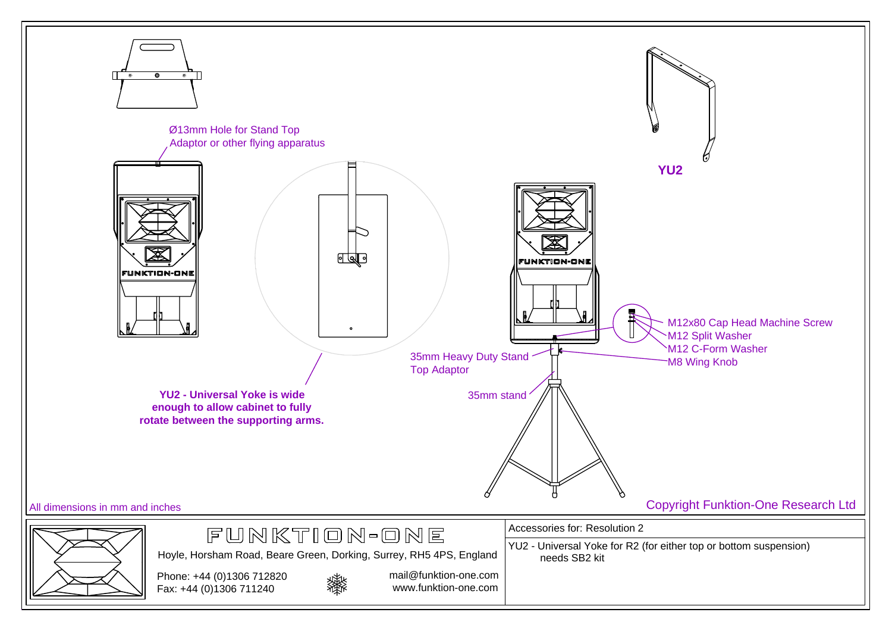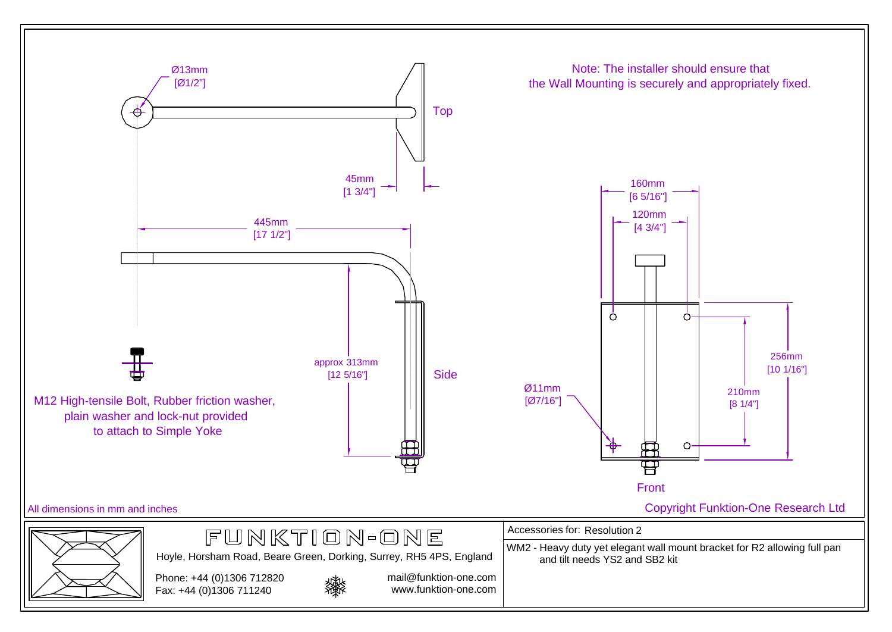